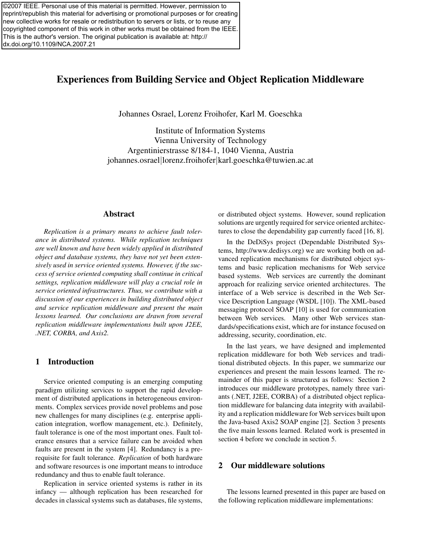©2007 IEEE. Personal use of this material is permitted. However, permission to reprint/republish this material for advertising or promotional purposes or for creating new collective works for resale or redistribution to servers or lists, or to reuse any copyrighted component of this work in other works must be obtained from the IEEE. This is the author's version. The original publication is available at: http:// dx.doi.org/10.1109/NCA.2007.21

# Experiences from Building Service and Object Replication Middleware

Johannes Osrael, Lorenz Froihofer, Karl M. Goeschka

Institute of Information Systems Vienna University of Technology Argentinierstrasse 8/184-1, 1040 Vienna, Austria johannes.osrael*|*lorenz.froihofer*|*karl.goeschka@tuwien.ac.at

### Abstract

*Replication is a primary means to achieve fault tolerance in distributed systems. While replication techniques are well known and have been widely applied in distributed object and database systems, they have not yet been extensively used in service oriented systems. However, if the success of service oriented computing shall continue in critical settings, replication middleware will play a crucial role in service oriented infrastructures. Thus, we contribute with a discussion of our experiences in building distributed object and service replication middleware and present the main lessons learned. Our conclusions are drawn from several replication middleware implementations built upon J2EE, .NET, CORBA, and Axis2.*

### 1 Introduction

Service oriented computing is an emerging computing paradigm utilizing services to support the rapid development of distributed applications in heterogeneous environments. Complex services provide novel problems and pose new challenges for many disciplines (e.g. enterprise application integration, worflow management, etc.). Definitely, fault tolerance is one of the most important ones. Fault tolerance ensures that a service failure can be avoided when faults are present in the system [4]. Redundancy is a prerequisite for fault tolerance. *Replication* of both hardware and software resources is one important means to introduce redundancy and thus to enable fault tolerance.

Replication in service oriented systems is rather in its infancy — although replication has been researched for decades in classical systems such as databases, file systems, or distributed object systems. However, sound replication solutions are urgently required for service oriented architectures to close the dependability gap currently faced [16, 8].

In the DeDiSys project (Dependable Distributed Systems, http://www.dedisys.org) we are working both on advanced replication mechanisms for distributed object systems and basic replication mechanisms for Web service based systems. Web services are currently the dominant approach for realizing service oriented architectures. The interface of a Web service is described in the Web Service Description Language (WSDL [10]). The XML-based messaging protocol SOAP [10] is used for communication between Web services. Many other Web services standards/specifications exist, which are for instance focused on addressing, security, coordination, etc.

In the last years, we have designed and implemented replication middleware for both Web services and traditional distributed objects. In this paper, we summarize our experiences and present the main lessons learned. The remainder of this paper is structured as follows: Section 2 introduces our middleware prototypes, namely three variants (.NET, J2EE, CORBA) of a distributed object replication middleware for balancing data integrity with availability and a replication middleware for Web services built upon the Java-based Axis2 SOAP engine [2]. Section 3 presents the five main lessons learned. Related work is presented in section 4 before we conclude in section 5.

### 2 Our middleware solutions

The lessons learned presented in this paper are based on the following replication middleware implementations: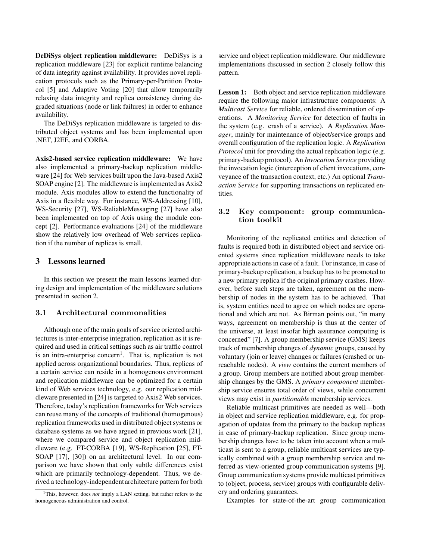DeDiSys object replication middleware: DeDiSys is a replication middleware [23] for explicit runtime balancing of data integrity against availability. It provides novel replication protocols such as the Primary-per-Partition Protocol [5] and Adaptive Voting [20] that allow temporarily relaxing data integrity and replica consistency during degraded situations (node or link failures) in order to enhance availability.

The DeDiSys replication middleware is targeted to distributed object systems and has been implemented upon .NET, J2EE, and CORBA.

Axis2-based service replication middleware: We have also implemented a primary-backup replication middleware [24] for Web services built upon the Java-based Axis2 SOAP engine [2]. The middleware is implemented as Axis2 module. Axis modules allow to extend the functionality of Axis in a flexible way. For instance, WS-Addressing [10], WS-Security [27], WS-ReliableMessaging [27] have also been implemented on top of Axis using the module concept [2]. Performance evaluations [24] of the middleware show the relatively low overhead of Web services replication if the number of replicas is small.

#### 3 Lessons learned

In this section we present the main lessons learned during design and implementation of the middleware solutions presented in section 2.

#### **3.1 Architectural commonalities**

Although one of the main goals of service oriented architectures is inter-enterprise integration, replication as it is required and used in critical settings such as air traffic control is an intra-enterprise concern<sup>1</sup>. That is, replication is not applied across organizational boundaries. Thus, replicas of a certain service can reside in a homogenous environment and replication middleware can be optimized for a certain kind of Web services technology, e.g. our replication middleware presented in [24] is targeted to Axis2 Web services. Therefore, today's replication frameworks for Web services can reuse many of the concepts of traditional (homogenous) replication frameworks used in distributed object systems or database systems as we have argued in previous work [21], where we compared service and object replication middleware (e.g. FT-CORBA [19], WS-Replication [25], FT-SOAP [17], [30]) on an architectural level. In our comparison we have shown that only subtle differences exist which are primarily technology-dependent. Thus, we derived a technology-independent architecture pattern for both

service and object replication middleware. Our middleware implementations discussed in section 2 closely follow this pattern.

Lesson 1: Both object and service replication middleware require the following major infrastructure components: A *Multicast Service* for reliable, ordered dissemination of operations. A *Monitoring Service* for detection of faults in the system (e.g. crash of a service). A *Replication Manager*, mainly for maintenance of object/service groups and overall configuration of the replication logic. A *Replication Protocol* unit for providing the actual replication logic (e.g. primary-backup protocol). An *Invocation Service* providing the invocation logic (interception of client invocations, conveyance of the transaction context, etc.) An optional *Transaction Service* for supporting transactions on replicated entities.

# **3.2 Key component: group communication toolkit**

Monitoring of the replicated entities and detection of faults is required both in distributed object and service oriented systems since replication middleware needs to take appropriate actions in case of a fault. For instance, in case of primary-backup replication, a backup has to be promoted to a new primary replica if the original primary crashes. However, before such steps are taken, agreement on the membership of nodes in the system has to be achieved. That is, system entities need to agree on which nodes are operational and which are not. As Birman points out, "in many ways, agreement on membership is thus at the center of the universe, at least insofar high assurance computing is concerned" [7]. A group membership service (GMS) keeps track of membership changes of *dynamic* groups, caused by voluntary (join or leave) changes or failures (crashed or unreachable nodes). A *view* contains the current members of a group. Group members are notified about group membership changes by the GMS. A *primary component* membership service ensures total order of views, while concurrent views may exist in *partitionable* membership services.

Reliable multicast primitives are needed as well—both in object and service replication middleware, e.g. for propagation of updates from the primary to the backup replicas in case of primary-backup replication. Since group membership changes have to be taken into account when a multicast is sent to a group, reliable multicast services are typically combined with a group membership service and referred as view-oriented group communication systems [9]. Group communication systems provide multicast primitives to (object, process, service) groups with configurable delivery and ordering guarantees.

Examples for state-of-the-art group communication

<sup>&</sup>lt;sup>1</sup>This, however, does *not* imply a LAN setting, but rather refers to the homogeneous administration and control.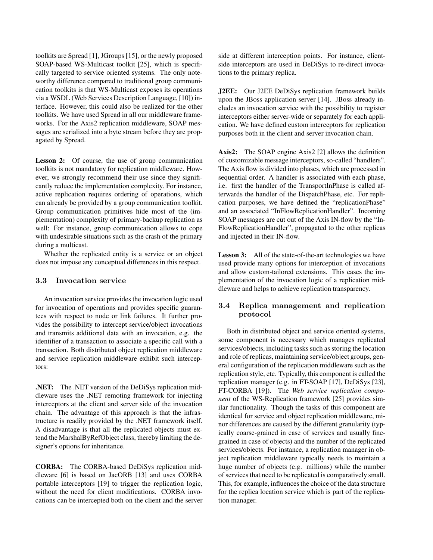toolkits are Spread [1], JGroups [15], or the newly proposed SOAP-based WS-Multicast toolkit [25], which is specifically targeted to service oriented systems. The only noteworthy difference compared to traditional group communication toolkits is that WS-Multicast exposes its operations via a WSDL (Web Services Description Language, [10]) interface. However, this could also be realized for the other toolkits. We have used Spread in all our middleware frameworks. For the Axis2 replication middleware, SOAP messages are serialized into a byte stream before they are propagated by Spread.

Lesson 2: Of course, the use of group communication toolkits is not mandatory for replication middleware. However, we strongly recommend their use since they significantly reduce the implementation complexity. For instance, active replication requires ordering of operations, which can already be provided by a group communication toolkit. Group communication primitives hide most of the (implementation) complexity of primary-backup replication as well: For instance, group communication allows to cope with undesirable situations such as the crash of the primary during a multicast.

Whether the replicated entity is a service or an object does not impose any conceptual differences in this respect.

#### **3.3 Invocation service**

An invocation service provides the invocation logic used for invocation of operations and provides specific guarantees with respect to node or link failures. It further provides the possibility to intercept service/object invocations and transmits additional data with an invocation, e.g. the identifier of a transaction to associate a specific call with a transaction. Both distributed object replication middleware and service replication middleware exhibit such interceptors:

.NET: The .NET version of the DeDiSys replication middleware uses the .NET remoting framework for injecting interceptors at the client and server side of the invocation chain. The advantage of this approach is that the infrastructure is readily provided by the .NET framework itself. A disadvantage is that all the replicated objects must extend the MarshalByRefObject class, thereby limiting the designer's options for inheritance.

CORBA: The CORBA-based DeDiSys replication middleware [6] is based on JacORB [13] and uses CORBA portable interceptors [19] to trigger the replication logic, without the need for client modifications. CORBA invocations can be intercepted both on the client and the server side at different interception points. For instance, clientside interceptors are used in DeDiSys to re-direct invocations to the primary replica.

J2EE: Our J2EE DeDiSys replication framework builds upon the JBoss application server [14]. JBoss already includes an invocation service with the possibility to register interceptors either server-wide or separately for each application. We have defined custom interceptors for replication purposes both in the client and server invocation chain.

Axis2: The SOAP engine Axis2 [2] allows the definition of customizable message interceptors, so-called "handlers". The Axis flow is divided into phases, which are processed in sequential order. A handler is associated with each phase, i.e. first the handler of the TransportInPhase is called afterwards the handler of the DispatchPhase, etc. For replication purposes, we have defined the "replicationPhase" and an associated "InFlowReplicationHandler". Incoming SOAP messages are cut out of the Axis IN-flow by the "In-FlowReplicationHandler", propagated to the other replicas and injected in their IN-flow.

**Lesson 3:** All of the state-of-the-art technologies we have used provide many options for interception of invocations and allow custom-tailored extensions. This eases the implementation of the invocation logic of a replication middleware and helps to achieve replication transparency.

# **3.4 Replica management and replication protocol**

Both in distributed object and service oriented systems, some component is necessary which manages replicated services/objects, including tasks such as storing the location and role of replicas, maintaining service/object groups, general configuration of the replication middleware such as the replication style, etc. Typically, this component is called the replication manager (e.g. in FT-SOAP [17], DeDiSys [23], FT-CORBA [19]). The *Web service replication component* of the WS-Replication framework [25] provides similar functionality. Though the tasks of this component are identical for service and object replication middleware, minor differences are caused by the different granularity (typically coarse-grained in case of services and usually finegrained in case of objects) and the number of the replicated services/objects. For instance, a replication manager in object replication middleware typically needs to maintain a huge number of objects (e.g. millions) while the number of services that need to be replicated is comparatively small. This, for example, influences the choice of the data structure for the replica location service which is part of the replication manager.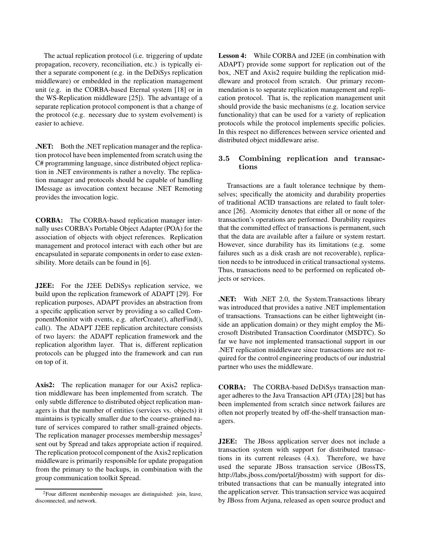The actual replication protocol (i.e. triggering of update propagation, recovery, reconciliation, etc.) is typically either a separate component (e.g. in the DeDiSys replication middleware) or embedded in the replication management unit (e.g. in the CORBA-based Eternal system [18] or in the WS-Replication middleware [25]). The advantage of a separate replication protocol component is that a change of the protocol (e.g. necessary due to system evolvement) is easier to achieve.

.NET: Both the .NET replication manager and the replication protocol have been implemented from scratch using the C# programming language, since distributed object replication in .NET environments is rather a novelty. The replication manager and protocols should be capable of handling IMessage as invocation context because .NET Remoting provides the invocation logic.

CORBA: The CORBA-based replication manager internally uses CORBA's Portable Object Adapter (POA) for the association of objects with object references. Replication management and protocol interact with each other but are encapsulated in separate components in order to ease extensibility. More details can be found in [6].

J2EE: For the J2EE DeDiSys replication service, we build upon the replication framework of ADAPT [29]. For replication purposes, ADAPT provides an abstraction from a specific application server by providing a so called ComponentMonitor with events, e.g. afterCreate(), afterFind(), call(). The ADAPT J2EE replication architecture consists of two layers: the ADAPT replication framework and the replication algorithm layer. That is, different replication protocols can be plugged into the framework and can run on top of it.

Axis2: The replication manager for our Axis2 replication middleware has been implemented from scratch. The only subtle difference to distributed object replication managers is that the number of entities (services vs. objects) it maintains is typically smaller due to the coarse-grained nature of services compared to rather small-grained objects. The replication manager processes membership messages<sup>2</sup> sent out by Spread and takes appropriate action if required. The replication protocol component of the Axis2 replication middleware is primarily responsible for update propagation from the primary to the backups, in combination with the group communication toolkit Spread.

Lesson 4: While CORBA and J2EE (in combination with ADAPT) provide some support for replication out of the box, .NET and Axis2 require building the replication middleware and protocol from scratch. Our primary recommendation is to separate replication management and replication protocol. That is, the replication management unit should provide the basic mechanisms (e.g. location service functionality) that can be used for a variety of replication protocols while the protocol implements specific policies. In this respect no differences between service oriented and distributed object middleware arise.

### **3.5 Combining replication and transactions**

Transactions are a fault tolerance technique by themselves; specifically the atomicity and durability properties of traditional ACID transactions are related to fault tolerance [26]. Atomicity denotes that either all or none of the transaction's operations are performed. Durability requires that the committed effect of transactions is permanent, such that the data are available after a failure or system restart. However, since durability has its limitations (e.g. some failures such as a disk crash are not recoverable), replication needs to be introduced in critical transactional systems. Thus, transactions need to be performed on replicated objects or services.

.NET: With .NET 2.0, the System.Transactions library was introduced that provides a native .NET implementation of transactions. Transactions can be either lightweight (inside an application domain) or they might employ the Microsoft Distributed Transaction Coordinator (MSDTC). So far we have not implemented transactional support in our .NET replication middleware since transactions are not required for the control engineering products of our industrial partner who uses the middleware.

CORBA: The CORBA-based DeDiSys transaction manager adheres to the Java Transaction API (JTA) [28] but has been implemented from scratch since network failures are often not properly treated by off-the-shelf transaction managers.

J2EE: The JBoss application server does not include a transaction system with support for distributed transactions in its current releases (4.x). Therefore, we have used the separate JBoss transaction service (JBossTS, http://labs.jboss.com/portal/jbosstm) with support for distributed transactions that can be manually integrated into the application server. This transaction service was acquired by JBoss from Arjuna, released as open source product and

<sup>2</sup>Four different membership messages are distinguished: join, leave, disconnected, and network.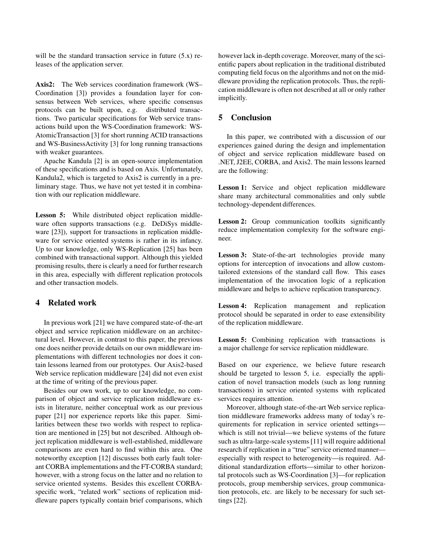will be the standard transaction service in future  $(5.x)$  releases of the application server.

Axis2: The Web services coordination framework (WS– Coordination [3]) provides a foundation layer for consensus between Web services, where specific consensus protocols can be built upon, e.g. distributed transactions. Two particular specifications for Web service transactions build upon the WS-Coordination framework: WS-AtomicTransaction [3] for short running ACID transactions and WS-BusinessActivity [3] for long running transactions with weaker guarantees.

Apache Kandula [2] is an open-source implementation of these specifications and is based on Axis. Unfortunately, Kandula2, which is targeted to Axis2 is currently in a preliminary stage. Thus, we have not yet tested it in combination with our replication middleware.

Lesson 5: While distributed object replication middleware often supports transactions (e.g. DeDiSys middleware [23]), support for transactions in replication middleware for service oriented systems is rather in its infancy. Up to our knowledge, only WS-Replication [25] has been combined with transactional support. Although this yielded promising results, there is clearly a need for further research in this area, especially with different replication protocols and other transaction models.

# 4 Related work

In previous work [21] we have compared state-of-the-art object and service replication middleware on an architectural level. However, in contrast to this paper, the previous one does neither provide details on our own middleware implementations with different technologies nor does it contain lessons learned from our prototypes. Our Axis2-based Web service replication middleware [24] did not even exist at the time of writing of the previous paper.

Besides our own work, up to our knowledge, no comparison of object and service replication middleware exists in literature, neither conceptual work as our previous paper [21] nor experience reports like this paper. Similarities between these two worlds with respect to replication are mentioned in [25] but not described. Although object replication middleware is well-established, middleware comparisons are even hard to find within this area. One noteworthy exception [12] discusses both early fault tolerant CORBA implementations and the FT-CORBA standard; however, with a strong focus on the latter and no relation to service oriented systems. Besides this excellent CORBAspecific work, "related work" sections of replication middleware papers typically contain brief comparisons, which

however lack in-depth coverage. Moreover, many of the scientific papers about replication in the traditional distributed computing field focus on the algorithms and not on the middleware providing the replication protocols. Thus, the replication middleware is often not described at all or only rather implicitly.

#### 5 Conclusion

In this paper, we contributed with a discussion of our experiences gained during the design and implementation of object and service replication middleware based on .NET, J2EE, CORBA, and Axis2. The main lessons learned are the following:

Lesson 1: Service and object replication middleware share many architectural commonalities and only subtle technology-dependent differences.

Lesson 2: Group communication toolkits significantly reduce implementation complexity for the software engineer.

Lesson 3: State-of-the-art technologies provide many options for interception of invocations and allow customtailored extensions of the standard call flow. This eases implementation of the invocation logic of a replication middleware and helps to achieve replication transparency.

Lesson 4: Replication management and replication protocol should be separated in order to ease extensibility of the replication middleware.

Lesson 5: Combining replication with transactions is a major challenge for service replication middleware.

Based on our experience, we believe future research should be targeted to lesson 5, i.e. especially the application of novel transaction models (such as long running transactions) in service oriented systems with replicated services requires attention.

Moreover, although state-of-the-art Web service replication middleware frameworks address many of today's requirements for replication in service oriented settings which is still not trivial—we believe systems of the future such as ultra-large-scale systems [11] will require additional research if replication in a "true" service oriented manner especially with respect to heterogeneity—is required. Additional standardization efforts—similar to other horizontal protocols such as WS-Coordination [3]—for replication protocols, group membership services, group communication protocols, etc. are likely to be necessary for such settings [22].